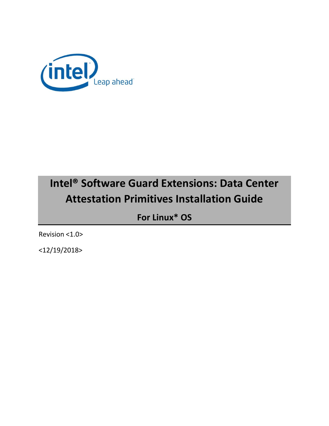

# **Intel® Software Guard Extensions: Data Center Attestation Primitives Installation Guide**

**For Linux\* OS**

Revision <1.0>

<12/19/2018>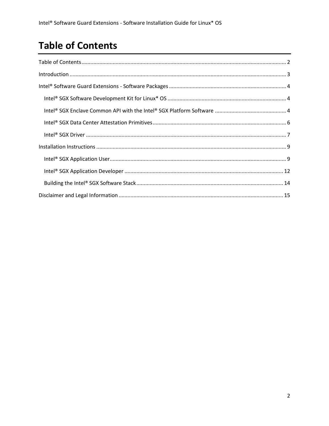# **Table of Contents**

| $\label{eq:interoduction} \mbox{Introduction} \,\, \ldots \,\, \ldots \,\, \ldots \,\, \ldots \,\, \ldots \,\, \ldots \,\, \ldots \,\, \ldots \,\, \ldots \,\, \ldots \,\, \ldots \,\, \ldots \,\, \ldots \,\, \ldots \,\, \ldots \,\, \ldots \,\, \ldots \,\, \ldots \,\, \ldots \,\, \ldots \,\, \ldots \,\, \ldots \,\, \ldots \,\, \ldots \,\, \ldots \,\, \ldots \,\, \ldots \,\, \ldots \,\, \ldots \,\, \ldots \,\, \ldots \,\, \ldots \,\, \ldots \,\, \ldots \$ |
|--------------------------------------------------------------------------------------------------------------------------------------------------------------------------------------------------------------------------------------------------------------------------------------------------------------------------------------------------------------------------------------------------------------------------------------------------------------------------|
|                                                                                                                                                                                                                                                                                                                                                                                                                                                                          |
|                                                                                                                                                                                                                                                                                                                                                                                                                                                                          |
|                                                                                                                                                                                                                                                                                                                                                                                                                                                                          |
|                                                                                                                                                                                                                                                                                                                                                                                                                                                                          |
|                                                                                                                                                                                                                                                                                                                                                                                                                                                                          |
|                                                                                                                                                                                                                                                                                                                                                                                                                                                                          |
|                                                                                                                                                                                                                                                                                                                                                                                                                                                                          |
|                                                                                                                                                                                                                                                                                                                                                                                                                                                                          |
|                                                                                                                                                                                                                                                                                                                                                                                                                                                                          |
|                                                                                                                                                                                                                                                                                                                                                                                                                                                                          |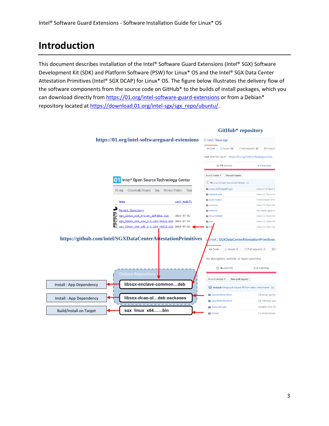# **Introduction**

This document describes installation of the Intel® Software Guard Extensions (Intel® SGX) Software Development Kit (SDK) and Platform Software (PSW) for Linux\* OS and the Intel® SGX Data Center Attestation Primitives (Intel® SGX DCAP) for Linux\* OS. The figure below illustrates the delivery flow of the software components from the source code on GitHub\* to the builds of install packages, which you can download directly fro[m https://01.org/intel-software-guard-extensions](https://01.org/intel-software-guard-extensions) or from a Debian\* repository located a[t https://download.01.org/intel-sgx/sgx\\_repo/ubuntu/.](https://download.01.org/intel-sgx/sgx_repo/ubuntu/)

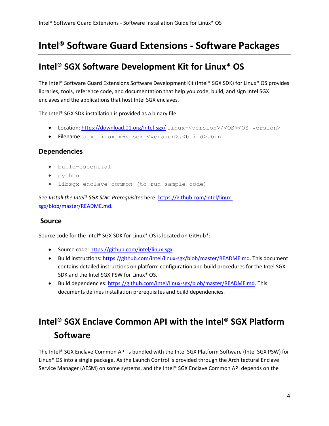# **Intel® Software Guard Extensions - Software Packages**

## **Intel® SGX Software Development Kit for Linux\* OS**

The Intel® Software Guard Extensions Software Development Kit (Intel® SGX SDK) for Linux\* OS provides libraries, tools, reference code, and documentation that help you code, build, and sign Intel SGX enclaves and the applications that host Intel SGX enclaves.

The Intel® SGX SDK installation is provided as a binary file:

- Location[: https://download.01.org/intel-sgx/](https://download.01.org/intel-sgx/) linux-<version>/<OS><OS version>
- Filename: sgx\_linux\_x64\_sdk\_<version>.<br/>build>.bin

#### **Dependencies**

- build-essential
- python
- libsgx-enclave-common (to run sample code)

See *Install the Intel® SGX SDK*: *Prerequisites* here: [https://github.com/intel/linux](https://github.com/intel/linux-sgx/blob/master/README.md)[sgx/blob/master/README.md.](https://github.com/intel/linux-sgx/blob/master/README.md)

#### **Source**

Source code for the Intel® SGX SDK for Linux\* OS is located on GitHub\*:

- Source code: [https://github.com/intel/linux-sgx.](https://github.com/intel/linux-sgx)
- Build instructions: [https://github.com/intel/linux-sgx/blob/master/README.md.](https://github.com/intel/linux-sgx/blob/master/README.md) This document contains detailed instructions on platform configuration and build procedures for the Intel SGX SDK and the Intel SGX PSW for Linux\* OS.
- Build dependencies: [https://github.com/intel/linux-sgx/blob/master/README.md.](https://github.com/intel/linux-sgx/blob/master/README.md) This documents defines installation prerequisites and build dependencies.

# **Intel® SGX Enclave Common API with the Intel® SGX Platform Software**

The Intel® SGX Enclave Common API is bundled with the Intel SGX Platform Software (Intel SGX PSW) for Linux\* OS into a single package. As the Launch Control is provided through the Architectural Enclave Service Manager (AESM) on some systems, and the Intel® SGX Enclave Common API depends on the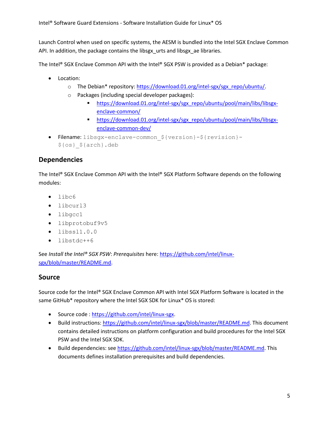Launch Control when used on specific systems, the AESM is bundled into the Intel SGX Enclave Common API. In addition, the package contains the libsgx urts and libsgx ae libraries.

The Intel® SGX Enclave Common API with the Intel® SGX PSW is provided as a Debian\* package:

- Location:
	- o The Debian\* repository: [https://download.01.org/intel-sgx/sgx\\_repo/ubuntu/.](https://download.01.org/intel-sgx/sgx_repo/ubuntu/)
	- Packages (including special developer packages):
		- [https://download.01.org/intel-sgx/sgx\\_repo/ubuntu/pool/main/libs/libsgx](https://download.01.org/intel-sgx/sgx_repo/ubuntu/pool/main/libs/libsgx-enclave-common/)[enclave-common/](https://download.01.org/intel-sgx/sgx_repo/ubuntu/pool/main/libs/libsgx-enclave-common/)
		- [https://download.01.org/intel-sgx/sgx\\_repo/ubuntu/pool/main/libs/libsgx](https://download.01.org/intel-sgx/sgx_repo/ubuntu/pool/main/libs/libsgx-enclave-common-dev/)[enclave-common-dev/](https://download.01.org/intel-sgx/sgx_repo/ubuntu/pool/main/libs/libsgx-enclave-common-dev/)
- Filename: libsgx-enclave-common\_\${version}-\${revision}- \${os}\_\${arch}.deb

### **Dependencies**

The Intel® SGX Enclave Common API with the Intel® SGX Platform Software depends on the following modules:

- libc6
- libcurl3
- libgcc1
- libprotobuf9v5
- $\bullet$  libssl1.0.0
- libstdc++6

See *Install the Intel® SGX PSW*: *Prerequisites* here: [https://github.com/intel/linux](https://github.com/intel/linux-sgx/blob/master/README.md)[sgx/blob/master/README.md.](https://github.com/intel/linux-sgx/blob/master/README.md)

### **Source**

Source code for the Intel® SGX Enclave Common API with Intel SGX Platform Software is located in the same GitHub\* repository where the Intel SGX SDK for Linux\* OS is stored:

- Source code [: https://github.com/intel/linux-sgx.](https://github.com/intel/linux-sgx)
- Build instructions: [https://github.com/intel/linux-sgx/blob/master/README.md.](https://github.com/intel/linux-sgx/blob/master/README.md) This document contains detailed instructions on platform configuration and build procedures for the Intel SGX PSW and the Intel SGX SDK.
- Build dependencies: se[e https://github.com/intel/linux-sgx/blob/master/README.md.](https://github.com/intel/linux-sgx/blob/master/README.md) This documents defines installation prerequisites and build dependencies.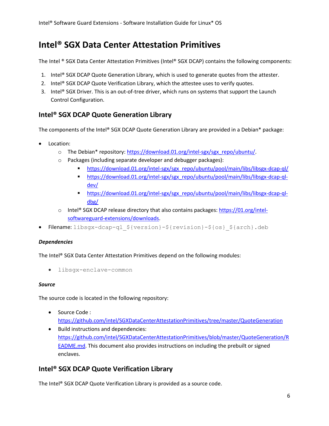## **Intel® SGX Data Center Attestation Primitives**

The Intel ® SGX Data Center Attestation Primitives (Intel® SGX DCAP) contains the following components:

- 1. Intel® SGX DCAP Quote Generation Library, which is used to generate quotes from the attester.
- 2. Intel® SGX DCAP Quote Verification Library, which the attestee uses to verify quotes.
- 3. Intel® SGX Driver. This is an out-of-tree driver, which runs on systems that support the Launch Control Configuration.

### **Intel® SGX DCAP Quote Generation Library**

The components of the Intel® SGX DCAP Quote Generation Library are provided in a Debian\* package:

- Location:
	- o The Debian\* repository: [https://download.01.org/intel-sgx/sgx\\_repo/ubuntu/.](https://download.01.org/intel-sgx/sgx_repo/ubuntu/)
	- o Packages (including separate developer and debugger packages):
		- [https://download.01.org/intel-sgx/sgx\\_repo/ubuntu/pool/main/libs/libsgx-dcap-ql/](https://download.01.org/intel-sgx/sgx_repo/ubuntu/pool/main/libs/libsgx-dcap-ql/)
		- [https://download.01.org/intel-sgx/sgx\\_repo/ubuntu/pool/main/libs/libsgx-dcap-ql](https://download.01.org/intel-sgx/sgx_repo/ubuntu/pool/main/libs/libsgx-dcap-ql-dev/)[dev/](https://download.01.org/intel-sgx/sgx_repo/ubuntu/pool/main/libs/libsgx-dcap-ql-dev/)
		- [https://download.01.org/intel-sgx/sgx\\_repo/ubuntu/pool/main/libs/libsgx-dcap-ql](https://download.01.org/intel-sgx/sgx_repo/ubuntu/pool/main/libs/libsgx-dcap-ql-dbg/)[dbg/](https://download.01.org/intel-sgx/sgx_repo/ubuntu/pool/main/libs/libsgx-dcap-ql-dbg/)
	- $\circ$  Intel® SGX DCAP release directory that also contains packages[: https://01.org/intel](https://01.org/intel-softwareguard-extensions/downloads)[softwareguard-extensions/downloads.](https://01.org/intel-softwareguard-extensions/downloads)
- Filename: libsgx-dcap-ql\_\${version}-\${revision}-\${os}\_\${arch}.deb

#### *Dependencies*

The Intel® SGX Data Center Attestation Primitives depend on the following modules:

libsgx-enclave-common

#### *Source*

The source code is located in the following repository:

- Source Code : <https://github.com/intel/SGXDataCenterAttestationPrimitives/tree/master/QuoteGeneration>
- Build instructions and dependencies: [https://github.com/intel/SGXDataCenterAttestationPrimitives/blob/master/QuoteGeneration/R](https://github.com/intel/SGXDataCenterAttestationPrimitives/blob/master/QuoteGeneration/README.md) [EADME.md.](https://github.com/intel/SGXDataCenterAttestationPrimitives/blob/master/QuoteGeneration/README.md) This document also provides instructions on including the prebuilt or signed enclaves.

### **Intel® SGX DCAP Quote Verification Library**

The Intel® SGX DCAP Quote Verification Library is provided as a source code.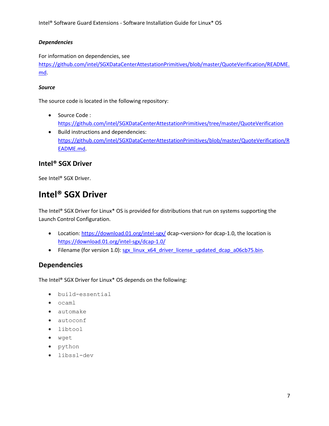#### *Dependencies*

For information on dependencies, see [https://github.com/intel/SGXDataCenterAttestationPrimitives/blob/master/QuoteVerification/README.](https://github.com/intel/SGXDataCenterAttestationPrimitives/blob/master/QuoteVerification/README.md) [md.](https://github.com/intel/SGXDataCenterAttestationPrimitives/blob/master/QuoteVerification/README.md)

#### *Source*

The source code is located in the following repository:

- Source Code : <https://github.com/intel/SGXDataCenterAttestationPrimitives/tree/master/QuoteVerification>
- Build instructions and dependencies: [https://github.com/intel/SGXDataCenterAttestationPrimitives/blob/master/QuoteVerification/R](https://github.com/intel/SGXDataCenterAttestationPrimitives/blob/master/QuoteVerification/README.md) [EADME.md.](https://github.com/intel/SGXDataCenterAttestationPrimitives/blob/master/QuoteVerification/README.md)

### **Intel® SGX Driver**

Se[e Intel® SGX Driver.](#page-6-0)

## <span id="page-6-0"></span>**Intel® SGX Driver**

The Intel® SGX Driver for Linux\* OS is provided for distributions that run on systems supporting the Launch Control Configuration.

- Location[: https://download.01.org/intel-sgx/](https://download.01.org/intel-sgx/) dcap-<version> for dcap-1.0, the location is <https://download.01.org/intel-sgx/dcap-1.0/>
- Filename (for version 1.0): [sgx\\_linux\\_x64\\_driver\\_license\\_updated\\_dcap\\_a06cb75.bin.](https://download.01.org/intel-sgx/dcap-1.0/sgx_linux_x64_driver_license_updated_dcap_a06cb75.bin)

### **Dependencies**

The Intel® SGX Driver for Linux\* OS depends on the following:

- build-essential
- $\bullet$  ocaml
- automake
- autoconf
- libtool
- wget
- python
- libssl-dev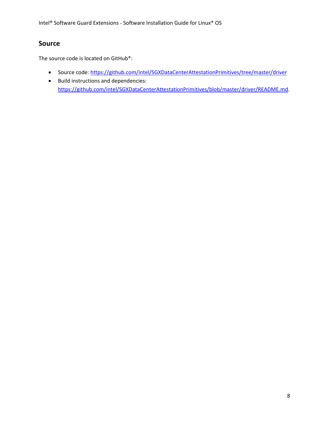Intel® Software Guard Extensions - Software Installation Guide for Linux\* OS

### **Source**

The source code is located on GitHub\*:

- Source code:<https://github.com/intel/SGXDataCenterAttestationPrimitives/tree/master/driver>
- Build instructions and dependencies: [https://github.com/intel/SGXDataCenterAttestationPrimitives/blob/master/driver/README.md.](https://github.com/intel/SGXDataCenterAttestationPrimitives/blob/master/driver/README.md)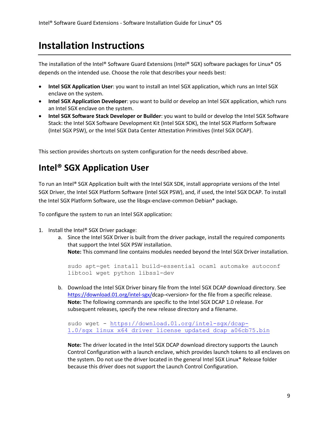# **Installation Instructions**

The installation of the Intel® Software Guard Extensions (Intel® SGX) software packages for Linux\* OS depends on the intended use. Choose the role that describes your needs best:

- **Intel SGX Application User**: you want to install an Intel SGX application, which runs an Intel SGX enclave on the system.
- **Intel SGX Application Developer**: you want to build or develop an Intel SGX application, which runs an Intel SGX enclave on the system.
- **Intel SGX Software Stack Developer or Builder**: you want to build or develop the Intel SGX Software Stack: the Intel SGX Software Development Kit (Intel SGX SDK), the Intel SGX Platform Software (Intel SGX PSW), or the Intel SGX Data Center Attestation Primitives (Intel SGX DCAP).

This section provides shortcuts on system configuration for the needs described above.

## **Intel® SGX Application User**

To run an Intel® SGX Application built with the Intel SGX SDK, install appropriate versions of the Intel SGX Driver, the Intel SGX Platform Software (Intel SGX PSW), and, if used, the Intel SGX DCAP. To install the Intel SGX Platform Software, use the libsgx-enclave-common Debian\* package**.**

To configure the system to run an Intel SGX application:

- 1. Install the Intel® SGX Driver package:
	- a. Since the Intel SGX Driver is built from the driver package, install the required components that support the Intel SGX PSW installation.

**Note:** This command line contains modules needed beyond the Intel SGX Driver installation.

sudo apt-get install build-essential ocaml automake autoconf libtool wget python libssl-dev

b. Download the Intel SGX Driver binary file from the Intel SGX DCAP download directory. See [https://download.01.org/intel-sgx/d](https://download.01.org/intel-sgx/)cap-<version> for the file from a specific release. **Note:** The following commands are specific to the Intel SGX DCAP 1.0 release. For subsequent releases, specify the new release directory and a filename.

```
sudo wget - https://download.01.org/intel-sgx/dcap-
1.0/sgx_linux_x64_driver_license_updated_dcap_a06cb75.bin
```
**Note:** The driver located in the Intel SGX DCAP download directory supports the Launch Control Configuration with a launch enclave, which provides launch tokens to all enclaves on the system. Do not use the driver located in the general Intel SGX Linux\* Release folder because this driver does not support the Launch Control Configuration.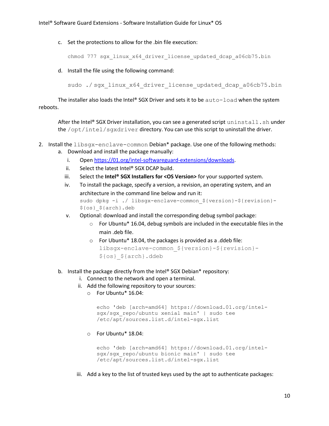c. Set the protections to allow for the .bin file execution:

chmod 777 sgx\_linux\_x64\_driver\_license\_updated\_dcap\_a06cb75.bin

d. Install the file using the following command:

sudo ./ sqx linux x64 driver license updated dcap a06cb75.bin

The installer also loads the Intel® SGX Driver and sets it to be  $auto$ - $load$  when the system reboots.

After the Intel® SGX Driver installation, you can see a generated script uninstall. sh under the /opt/intel/sgxdriver directory. You can use this script to uninstall the driver.

2. Install the libsgx-enclave-common Debian\* package. Use one of the following methods:

- a. Download and install the package manually:
	- i. Open [https://01.org/intel-softwareguard-extensions/downloads.](https://01.org/intel-softwareguard-extensions/downloads)
	- ii. Select the latest Intel® SGX DCAP build.
	- iii. Select the **Intel® SGX Installers for <OS Version>** for your supported system.
	- iv. To install the package, specify a version, a revision, an operating system, and an architecture in the command line below and run it: sudo dpkg -i ./ libsgx-enclave-common \${version}-\${revision}-\${os}\_\${arch}.deb
	- v. Optional: download and install the corresponding debug symbol package:
		- $\circ$  For Ubuntu\* 16.04, debug symbols are included in the executable files in the main .deb file.
		- o For Ubuntu\* 18.04, the packages is provided as a .ddeb file: libsgx-enclave-common\_\${version}-\${revision}- \${os}\_\${arch}.ddeb
- b. Install the package directly from the Intel® SGX Debian\* repository:
	- i. Connect to the network and open a terminal.
	- ii. Add the following repository to your sources:
		- o For Ubuntu\* 16.04:

```
echo 'deb [arch=amd64] https://download.01.org/intel-
sgx/sgx_repo/ubuntu xenial main' | sudo tee 
/etc/apt/sources.list.d/intel-sgx.list
```
o For Ubuntu\* 18.04:

```
echo 'deb [arch=amd64] https://download.01.org/intel-
sgx/sgx_repo/ubuntu bionic main' | sudo tee 
/etc/apt/sources.list.d/intel-sgx.list
```
iii. Add a key to the list of trusted keys used by the apt to authenticate packages: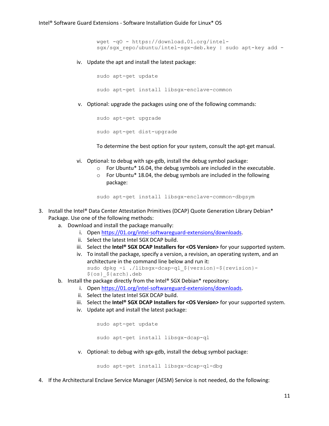```
wget -qO - https://download.01.org/intel-
sgx/sgx repo/ubuntu/intel-sgx-deb.key | sudo apt-key add -
```
iv. Update the apt and install the latest package:

sudo apt-get update sudo apt-get install libsgx-enclave-common

v. Optional: upgrade the packages using one of the following commands:

sudo apt-get upgrade sudo apt-get dist-upgrade

To determine the best option for your system, consult the apt-get manual.

- vi. Optional: to debug with sgx-gdb, install the debug symbol package:
	- o For Ubuntu\* 16.04, the debug symbols are included in the executable.
	- o For Ubuntu\* 18.04, the debug symbols are included in the following package:

sudo apt-get install libsgx-enclave-common-dbgsym

- 3. Install the Intel® Data Center Attestation Primitives (DCAP) Quote Generation Library Debian\* Package. Use one of the following methods:
	- a. Download and install the package manually:
		- i. Open [https://01.org/intel-softwareguard-extensions/downloads.](https://01.org/intel-softwareguard-extensions/downloads)
		- ii. Select the latest Intel SGX DCAP build.
		- iii. Select the **Intel® SGX DCAP Installers for <OS Version>** for your supported system.
		- iv. To install the package, specify a version, a revision, an operating system, and an architecture in the command line below and run it: sudo dpkg -i ./libsgx-dcap-ql\_\${version}-\${revision}- \${os}\_\${arch}.deb
	- b. Install the package directly from the Intel® SGX Debian\* repository:
		- i. Open [https://01.org/intel-softwareguard-extensions/downloads.](https://01.org/intel-softwareguard-extensions/downloads)
		- ii. Select the latest Intel SGX DCAP build.
		- iii. Select the **Intel® SGX DCAP Installers for <OS Version>** for your supported system.
		- iv. Update apt and install the latest package:

sudo apt-get update

sudo apt-get install libsgx-dcap-ql

v. Optional: to debug with sgx-gdb, install the debug symbol package:

sudo apt-get install libsgx-dcap-ql-dbg

4. If the Architectural Enclave Service Manager (AESM) Service is not needed, do the following: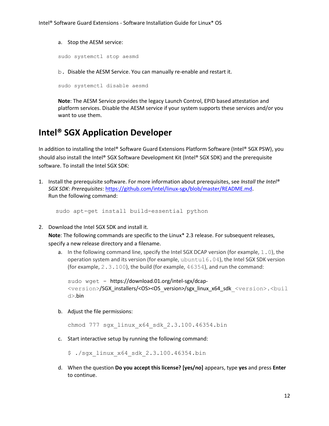a. Stop the AESM service:

sudo systemctl stop aesmd

b. Disable the AESM Service. You can manually re-enable and restart it.

sudo systemctl disable aesmd

**Note**: The AESM Service provides the legacy Launch Control, EPID based attestation and platform services. Disable the AESM service if your system supports these services and/or you want to use them.

## **Intel® SGX Application Developer**

In addition to installing the Intel® Software Guard Extensions Platform Software (Intel® SGX PSW), you should also install the Intel® SGX Software Development Kit (Intel® SGX SDK) and the prerequisite software. To install the Intel SGX SDK:

1. Install the prerequisite software. For more information about prerequisites, see *Install the Intel® SGX SDK*: *Prerequisites*: [https://github.com/intel/linux-sgx/blob/master/README.md.](https://github.com/intel/linux-sgx/blob/master/README.md) Run the following command:

sudo apt-get install build-essential python

2. Download the Intel SGX SDK and install it.

**Note**: The following commands are specific to the Linux\* 2.3 release. For subsequent releases, specify a new release directory and a filename.

a. In the following command line, specify the Intel SGX DCAP version (for example, 1.0), the operation system and its version (for example, ubuntu16.04), the Intel SGX SDK version (for example, 2.3.100), the build (for example, 46354), and run the command:

```
sudo wget - https://download.01.org/intel-sgx/dcap-
<version>/SGX_installers/<OS><OS_version>/sgx_linux_x64_sdk_<version>.<buil
d>.bin
```
b. Adjust the file permissions:

chmod 777 sgx\_linux\_x64\_sdk\_2.3.100.46354.bin

c. Start interactive setup by running the following command:

\$ ./sgx\_linux\_x64\_sdk\_2.3.100.46354.bin

d. When the question **Do you accept this license? [yes/no]** appears, type **yes** and press **Enter** to continue.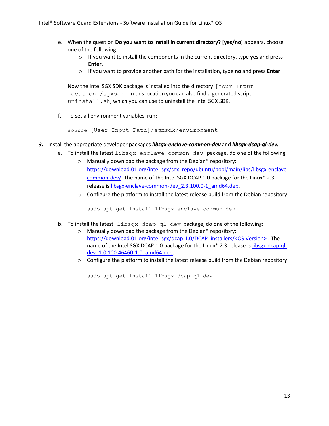- e. When the question **Do you want to install in current directory? [yes/no]** appears, choose one of the following:
	- o If you want to install the components in the current directory, type **yes** and press **Enter.**
	- o If you want to provide another path for the installation, type **no** and press **Enter**.

Now the Intel SGX SDK package is installed into the directory [Your Input] Location]/sgxsdk. In this location you can also find a generated script uninstall.sh, which you can use to uninstall the Intel SGX SDK.

f. To set all environment variables, run:

source [User Input Path]/sgxsdk/environment

- *3.* Install the appropriate developer packages *libsgx-enclave-common-dev* and *libsgx-dcap-ql-dev.*
	- a. To install the latest libsgx-enclave-common-dev package, do one of the following:
		- o Manually download the package from the Debian\* repository: [https://download.01.org/intel-sgx/sgx\\_repo/ubuntu/pool/main/libs/libsgx-enclave](https://download.01.org/intel-sgx/sgx_repo/ubuntu/pool/main/libs/libsgx-enclave-common-dev/)[common-dev/.](https://download.01.org/intel-sgx/sgx_repo/ubuntu/pool/main/libs/libsgx-enclave-common-dev/) The name of the Intel SGX DCAP 1.0 package for the Linux\* 2.3 release is [libsgx-enclave-common-dev\\_2.3.100.0-1\\_amd64.deb.](https://download.01.org/intel-sgx/sgx_repo/ubuntu/pool/main/libs/libsgx-enclave-common-dev/libsgx-enclave-common-dev_2.3.100.0-1_amd64.deb)
		- $\circ$  Configure the platform to install the latest release build from the Debian repository:

sudo apt-get install libsgx-enclave-common-dev

- b. To install the latest libsgx-dcap-gl-dev package, do one of the following:
	- o Manually download the package from the Debian\* repository: [https://download.01.org/intel-sgx/dcap-1.0/DCAP\\_installers/<OS Version>](https://download.01.org/intel-sgx/dcap-1.0/DCAP_installers/%3cOS%20Version%3e). The name of the Intel SGX DCAP 1.0 package for the Linux\* 2.3 release is [libsgx-dcap-ql](https://download.01.org/intel-sgx/dcap-1.0/DCAP_installers/ubuntu16.04/libsgx-dcap-ql-dev_1.0.100.46460-1.0_amd64.deb)dev 1.0.100.46460-1.0\_amd64.deb.
	- o Configure the platform to install the latest release build from the Debian repository:

sudo apt-get install libsgx-dcap-ql-dev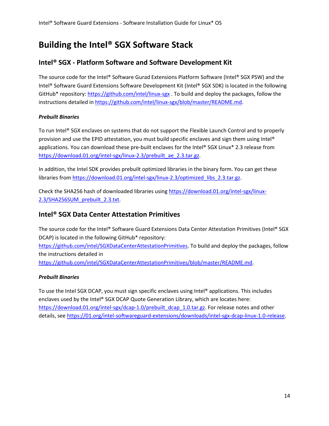## **Building the Intel® SGX Software Stack**

### **Intel® SGX - Platform Software and Software Development Kit**

The source code for the Intel® Software Gurad Extensions Platform Software (Intel® SGX PSW) and the Intel® Software Guard Extensions Software Development Kit (Intel® SGX SDK) is located in the following GitHub\* repository:<https://github.com/intel/linux-sgx> . To build and deploy the packages, follow the instructions detailed in [https://github.com/intel/linux-sgx/blob/master/README.md.](https://github.com/intel/linux-sgx/blob/master/README.md)

#### *Prebuilt Binaries*

To run Intel® SGX enclaves on systems that do not support the Flexible Launch Control and to properly provision and use the EPID attestation, you must build specific enclaves and sign them using Intel® applications. You can download these pre-built enclaves for the Intel® SGX Linux\* 2.3 release from [https://download.01.org/intel-sgx/linux-2.3/prebuilt\\_ae\\_2.3.tar.gz.](https://download.01.org/intel-sgx/linux-2.3/prebuilt_ae_2.3.tar.gz)

In addition, the Intel SDK provides prebuilt optimized libraries in the binary form. You can get these libraries from [https://download.01.org/intel-sgx/linux-2.3/optimized\\_libs\\_2.3.tar.gz.](https://download.01.org/intel-sgx/linux-2.3/optimized_libs_2.3.tar.gz)

Check the SHA256 hash of downloaded libraries using [https://download.01.org/intel-sgx/linux-](https://download.01.org/intel-sgx/linux-2.3/SHA256SUM_prebuilt_2.3.txt)[2.3/SHA256SUM\\_prebuilt\\_2.3.txt.](https://download.01.org/intel-sgx/linux-2.3/SHA256SUM_prebuilt_2.3.txt)

### **Intel® SGX Data Center Attestation Primitives**

The source code for the Intel® Software Guard Extensions Data Center Attestation Primitives (Intel® SGX DCAP) is located in the following GitHub\* repository:

[https://github.com/intel/SGXDataCenterAttestationPrimitives.](https://github.com/intel/SGXDataCenterAttestationPrimitives) To build and deploy the packages, follow the instructions detailed in

[https://github.com/intel/SGXDataCenterAttestationPrimitives/blob/master/README.md.](https://github.com/intel/SGXDataCenterAttestationPrimitives/blob/master/README.md)

#### *Prebuilt Binaries*

To use the Intel SGX DCAP, you must sign specific enclaves using Intel® applications. This includes enclaves used by the Intel® SGX DCAP Quote Generation Library, which are locates here: [https://download.01.org/intel-sgx/dcap-1.0/prebuilt\\_dcap\\_1.0.tar.gz.](https://download.01.org/intel-sgx/dcap-1.0/prebuilt_dcap_1.0.tar.gz) For release notes and other details, se[e https://01.org/intel-softwareguard-extensions/downloads/intel-sgx-dcap-linux-1.0-release.](https://01.org/intel-softwareguard-extensions/downloads/intel-sgx-dcap-linux-1.0-release)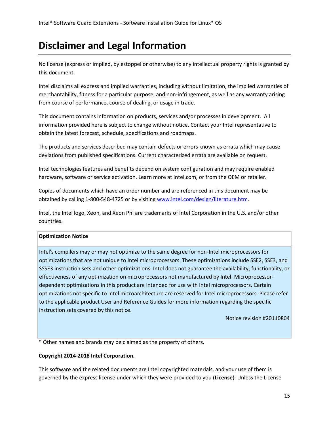# **Disclaimer and Legal Information**

No license (express or implied, by estoppel or otherwise) to any intellectual property rights is granted by this document.

Intel disclaims all express and implied warranties, including without limitation, the implied warranties of merchantability, fitness for a particular purpose, and non-infringement, as well as any warranty arising from course of performance, course of dealing, or usage in trade.

This document contains information on products, services and/or processes in development. All information provided here is subject to change without notice. Contact your Intel representative to obtain the latest forecast, schedule, specifications and roadmaps.

The products and services described may contain defects or errors known as errata which may cause deviations from published specifications. Current characterized errata are available on request.

Intel technologies features and benefits depend on system configuration and may require enabled hardware, software or service activation. Learn more at Intel.com, or from the OEM or retailer.

Copies of documents which have an order number and are referenced in this document may be obtained by calling 1-800-548-4725 or by visiting [www.intel.com/design/literature.htm.](http://www.intel.com/design/literature.htm)

Intel, the Intel logo, Xeon, and Xeon Phi are trademarks of Intel Corporation in the U.S. and/or other countries.

#### **Optimization Notice**

Intel's compilers may or may not optimize to the same degree for non-Intel microprocessors for optimizations that are not unique to Intel microprocessors. These optimizations include SSE2, SSE3, and SSSE3 instruction sets and other optimizations. Intel does not guarantee the availability, functionality, or effectiveness of any optimization on microprocessors not manufactured by Intel. Microprocessordependent optimizations in this product are intended for use with Intel microprocessors. Certain optimizations not specific to Intel microarchitecture are reserved for Intel microprocessors. Please refer to the applicable product User and Reference Guides for more information regarding the specific instruction sets covered by this notice.

Notice revision #20110804

\* Other names and brands may be claimed as the property of others.

#### **Copyright 2014-2018 Intel Corporation.**

This software and the related documents are Intel copyrighted materials, and your use of them is governed by the express license under which they were provided to you (**License**). Unless the License